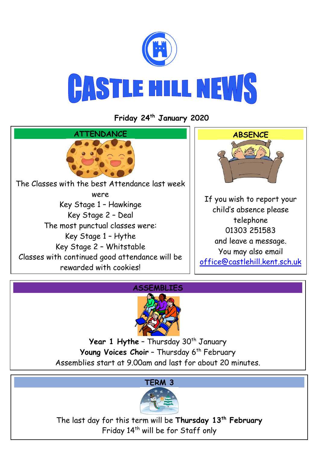

**Friday 24th January 2020**







Year 1 Hythe - Thursday 30<sup>th</sup> January Young Voices Choir - Thursday 6<sup>th</sup> February Assemblies start at 9.00am and last for about 20 minutes.

# **TERM 3**



The last day for this term will be **Thursday 13th February** Friday 14<sup>th</sup> will be for Staff only